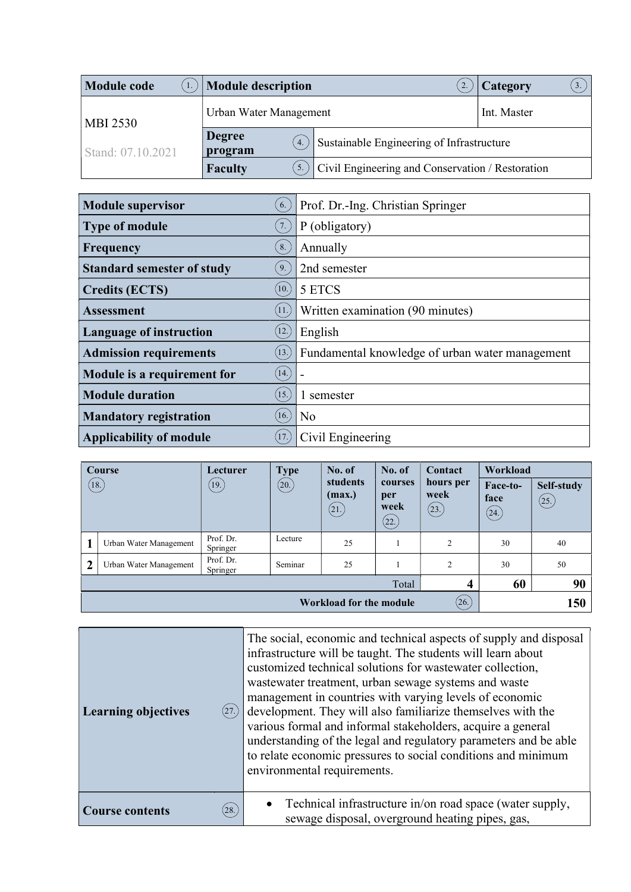| <b>Module code</b> | <b>Module description</b>      |                                                  | Category    |  |  |
|--------------------|--------------------------------|--------------------------------------------------|-------------|--|--|
| <b>MBI 2530</b>    | Urban Water Management         |                                                  | Int. Master |  |  |
| Stand: 07.10.2021  | <b>Degree</b><br>4.<br>program | Sustainable Engineering of Infrastructure        |             |  |  |
|                    | <b>Faculty</b>                 | Civil Engineering and Conservation / Restoration |             |  |  |

| <b>Module supervisor</b><br>6.                            | Prof. Dr.-Ing. Christian Springer               |
|-----------------------------------------------------------|-------------------------------------------------|
| <b>Type of module</b><br>7.                               | P (obligatory)                                  |
| 8.<br>Frequency                                           | Annually                                        |
| <b>Standard semester of study</b><br>9.                   | 2nd semester                                    |
| (10.)<br><b>Credits (ECTS)</b>                            | 5 ETCS                                          |
| (11.)<br><b>Assessment</b>                                | Written examination (90 minutes)                |
| <b>Language of instruction</b><br>$\left 12\right\rangle$ | English                                         |
| (13.)<br><b>Admission requirements</b>                    | Fundamental knowledge of urban water management |
| (14.)<br>Module is a requirement for                      |                                                 |
| (15.)<br><b>Module duration</b>                           | 1 semester                                      |
| (16.)<br><b>Mandatory registration</b>                    | N <sub>o</sub>                                  |
| (17)<br><b>Applicability of module</b>                    | Civil Engineering                               |

|                | Course                                  | Lecturer              | <b>Type</b> | No. of                      | No. of                         | Contact                    | Workload                                 |                    |
|----------------|-----------------------------------------|-----------------------|-------------|-----------------------------|--------------------------------|----------------------------|------------------------------------------|--------------------|
| (18.)          |                                         | (19.)                 | (20.)       | students<br>(max.)<br>(21.) | courses<br>per<br>week<br>(22. | hours per<br>week<br>(23.) | Face-to-<br>face<br>$\left( 24. \right)$ | Self-study<br>(25) |
|                | Urban Water Management                  | Prof. Dr.<br>Springer | Lecture     | 25                          |                                | 2                          | 30                                       | 40                 |
| $\overline{2}$ | Urban Water Management                  | Prof. Dr.<br>Springer | Seminar     | 25                          |                                | 2                          | 30                                       | 50                 |
|                |                                         |                       |             |                             | Total                          | 4                          | 60                                       | 90                 |
|                | (26.)<br><b>Workload for the module</b> |                       |             |                             | 150                            |                            |                                          |                    |

| <b>Learning objectives</b><br>(27.) | The social, economic and technical aspects of supply and disposal<br>infrastructure will be taught. The students will learn about<br>customized technical solutions for wastewater collection,<br>wastewater treatment, urban sewage systems and waste<br>management in countries with varying levels of economic<br>development. They will also familiarize themselves with the<br>various formal and informal stakeholders, acquire a general<br>understanding of the legal and regulatory parameters and be able<br>to relate economic pressures to social conditions and minimum<br>environmental requirements. |
|-------------------------------------|---------------------------------------------------------------------------------------------------------------------------------------------------------------------------------------------------------------------------------------------------------------------------------------------------------------------------------------------------------------------------------------------------------------------------------------------------------------------------------------------------------------------------------------------------------------------------------------------------------------------|
| (28.)<br><b>Course contents</b>     | Technical infrastructure in/on road space (water supply,<br>sewage disposal, overground heating pipes, gas,                                                                                                                                                                                                                                                                                                                                                                                                                                                                                                         |